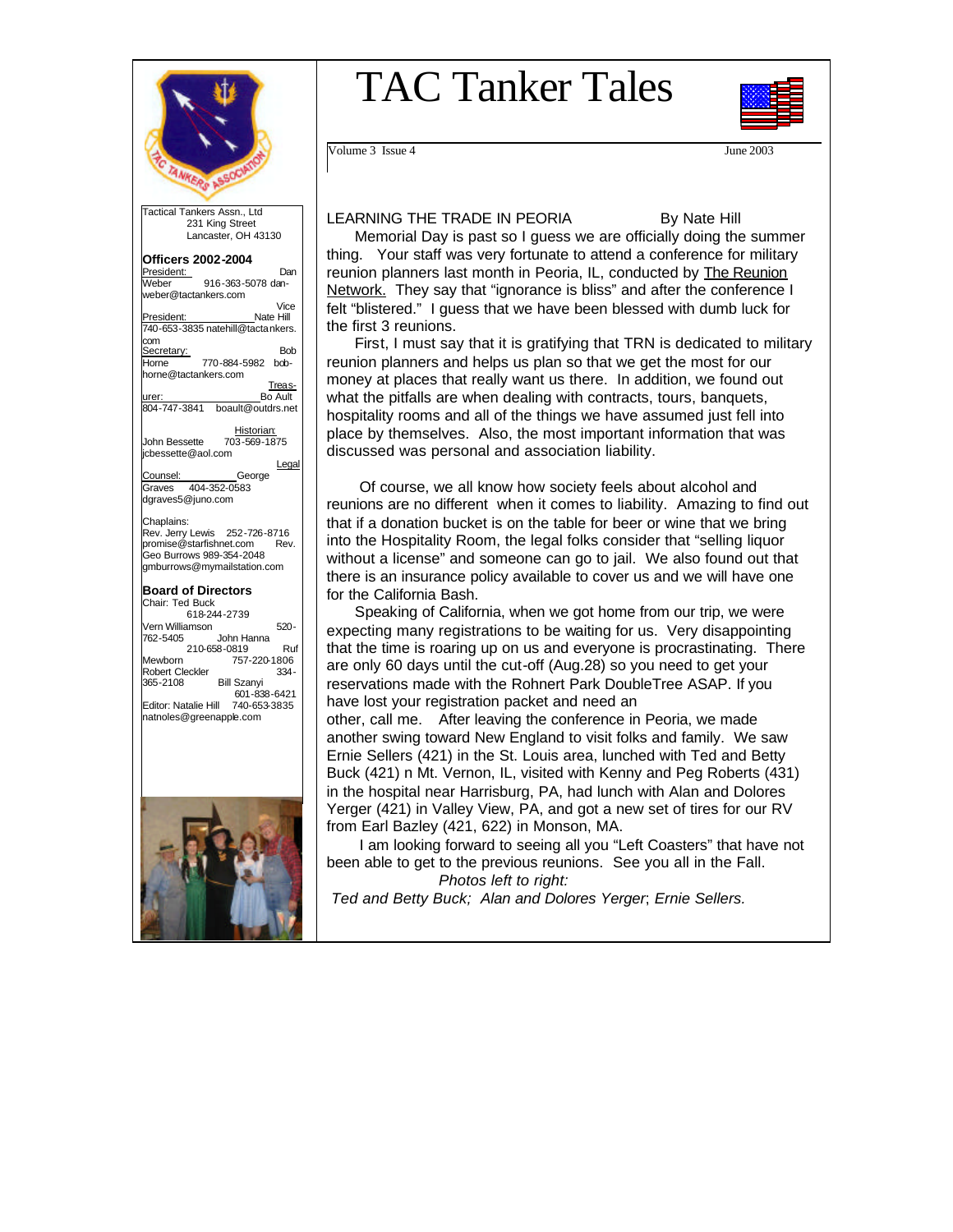

 231 King Street Lancaster, OH 43130

**Officers 2002-2004**  President:<br>Weber 916-363-5078 dan-916-363-5078 dan-

weber@tactankers.com

# TAC Tanker Tales



Volume 3 Issue 4 June 2003

### LEARNING THE TRADE IN PEORIA By Nate Hill

 Memorial Day is past so I guess we are officially doing the summer thing. Your staff was very fortunate to attend a conference for military reunion planners last month in Peoria, IL, conducted by The Reunion Network. They say that "ignorance is bliss" and after the conference I felt "blistered." I guess that we have been blessed with dumb luck for the first 3 reunions.

 First, I must say that it is gratifying that TRN is dedicated to military reunion planners and helps us plan so that we get the most for our money at places that really want us there. In addition, we found out what the pitfalls are when dealing with contracts, tours, banquets, hospitality rooms and all of the things we have assumed just fell into place by themselves. Also, the most important information that was discussed was personal and association liability.

 Of course, we all know how society feels about alcohol and reunions are no different when it comes to liability. Amazing to find out that if a donation bucket is on the table for beer or wine that we bring into the Hospitality Room, the legal folks consider that "selling liquor without a license" and someone can go to jail. We also found out that there is an insurance policy available to cover us and we will have one for the California Bash.

 Speaking of California, when we got home from our trip, we were expecting many registrations to be waiting for us. Very disappointing that the time is roaring up on us and everyone is procrastinating. There are only 60 days until the cut-off (Aug.28) so you need to get your reservations made with the Rohnert Park DoubleTree ASAP. If you have lost your registration packet and need an

other, call me. After leaving the conference in Peoria, we made another swing toward New England to visit folks and family. We saw Ernie Sellers (421) in the St. Louis area, lunched with Ted and Betty Buck (421) n Mt. Vernon, IL, visited with Kenny and Peg Roberts (431) in the hospital near Harrisburg, PA, had lunch with Alan and Dolores Yerger (421) in Valley View, PA, and got a new set of tires for our RV from Earl Bazley (421, 622) in Monson, MA.

 I am looking forward to seeing all you "Left Coasters" that have not been able to get to the previous reunions. See you all in the Fall. *Photos left to right:* 

 *Ted and Betty Buck; Alan and Dolores Yerger*; *Ernie Sellers.*

Vice<br>Nate Hill President: 740-653-3835 natehill@tactankers. com Secretary: Bob Horne 770-884-5982 bobhorne@tactankers.com **Treas-**<br>Bo Ault urer: Bo Ault 804-747-3841 boault@outdrs.net Historian:<br>Iohn Bessette 703-569-18 703-569-1875 jcbessette@aol.com Legal Counsel: George<br>Graves 404-352-0583 Graves 404-352-0583 dgraves5@juno.com Chaplains: Rev. Jerry Lewis 252-726-8716<br>promise@starfishnet.com Rev. promise@starfishnet.com Geo Burrows 989-354-2048 gmburrows@mymailstation.com **Board of Directors**  Chair: Ted Buck 618-244-2739 Vern Williamson 520- John Hanna 210-658-0819<br>Mewborn 757-220-1806 757-220-1806<br>-334 Robert Cleckler<br>365-2108 Bill Szanyi



Editor: Natalie Hill 740-653-3835 natnoles@greenapple.com

601-838-6421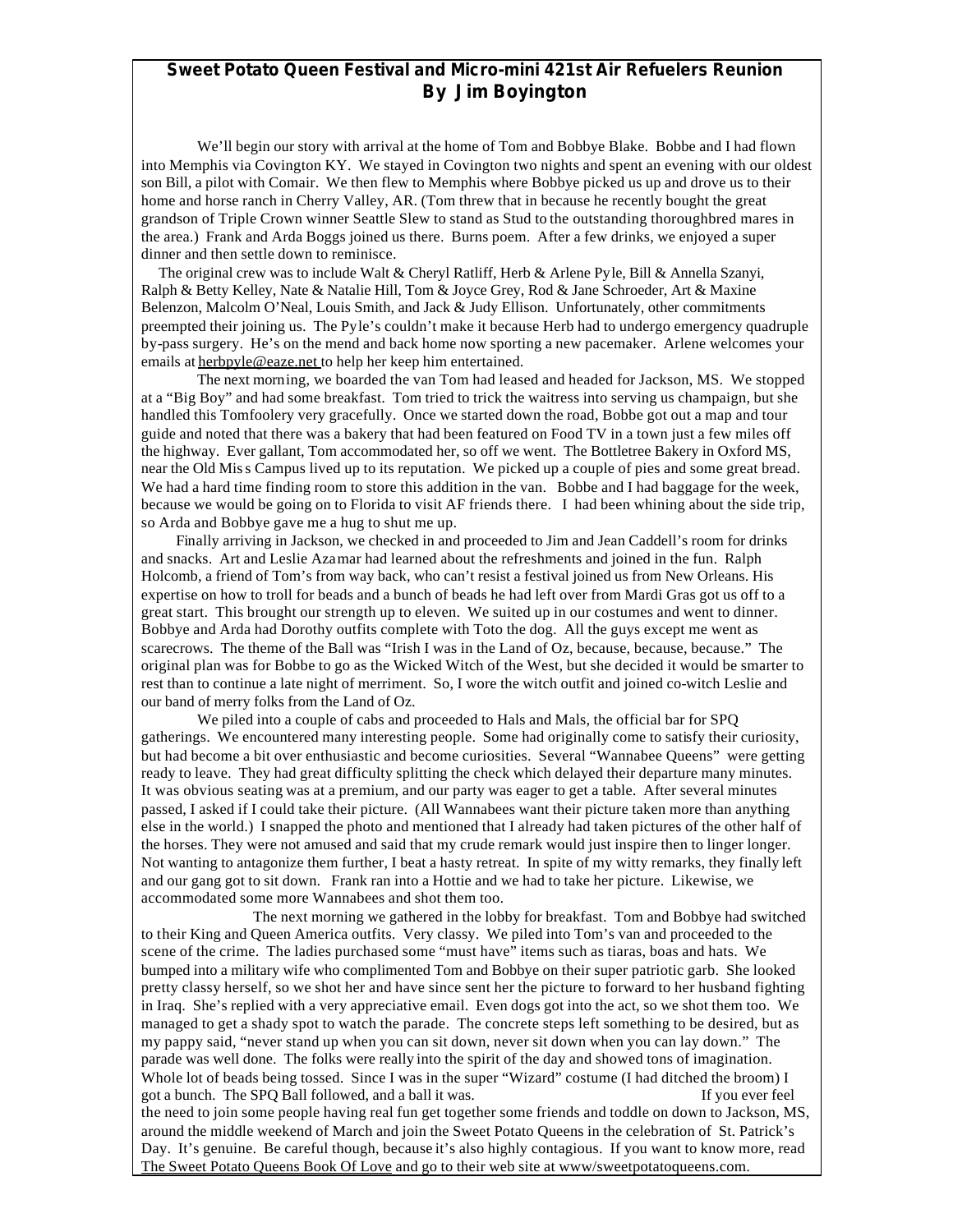### **Sweet Potato Queen Festival and Micro-mini 421st Air Refuelers Reunion By Jim Boyington**

 We'll begin our story with arrival at the home of Tom and Bobbye Blake. Bobbe and I had flown into Memphis via Covington KY. We stayed in Covington two nights and spent an evening with our oldest son Bill, a pilot with Comair. We then flew to Memphis where Bobbye picked us up and drove us to their home and horse ranch in Cherry Valley, AR. (Tom threw that in because he recently bought the great grandson of Triple Crown winner Seattle Slew to stand as Stud to the outstanding thoroughbred mares in the area.) Frank and Arda Boggs joined us there. Burns poem. After a few drinks, we enjoyed a super dinner and then settle down to reminisce.

 The original crew was to include Walt & Cheryl Ratliff, Herb & Arlene Pyle, Bill & Annella Szanyi, Ralph & Betty Kelley, Nate & Natalie Hill, Tom & Joyce Grey, Rod & Jane Schroeder, Art & Maxine Belenzon, Malcolm O'Neal, Louis Smith, and Jack & Judy Ellison. Unfortunately, other commitments preempted their joining us. The Pyle's couldn't make it because Herb had to undergo emergency quadruple by-pass surgery. He's on the mend and back home now sporting a new pacemaker. Arlene welcomes your emails at herbpyle@eaze.net to help her keep him entertained.

The next morning, we boarded the van Tom had leased and headed for Jackson, MS. We stopped at a "Big Boy" and had some breakfast. Tom tried to trick the waitress into serving us champaign, but she handled this Tomfoolery very gracefully. Once we started down the road, Bobbe got out a map and tour guide and noted that there was a bakery that had been featured on Food TV in a town just a few miles off the highway. Ever gallant, Tom accommodated her, so off we went. The Bottletree Bakery in Oxford MS, near the Old Miss Campus lived up to its reputation. We picked up a couple of pies and some great bread. We had a hard time finding room to store this addition in the van. Bobbe and I had baggage for the week, because we would be going on to Florida to visit AF friends there. I had been whining about the side trip, so Arda and Bobbye gave me a hug to shut me up.

 Finally arriving in Jackson, we checked in and proceeded to Jim and Jean Caddell's room for drinks and snacks. Art and Leslie Azamar had learned about the refreshments and joined in the fun. Ralph Holcomb, a friend of Tom's from way back, who can't resist a festival joined us from New Orleans. His expertise on how to troll for beads and a bunch of beads he had left over from Mardi Gras got us off to a great start. This brought our strength up to eleven. We suited up in our costumes and went to dinner. Bobbye and Arda had Dorothy outfits complete with Toto the dog. All the guys except me went as scarecrows. The theme of the Ball was "Irish I was in the Land of Oz, because, because, because." The original plan was for Bobbe to go as the Wicked Witch of the West, but she decided it would be smarter to rest than to continue a late night of merriment. So, I wore the witch outfit and joined co-witch Leslie and our band of merry folks from the Land of Oz.

We piled into a couple of cabs and proceeded to Hals and Mals, the official bar for SPQ gatherings. We encountered many interesting people. Some had originally come to satisfy their curiosity, but had become a bit over enthusiastic and become curiosities. Several "Wannabee Queens" were getting ready to leave. They had great difficulty splitting the check which delayed their departure many minutes. It was obvious seating was at a premium, and our party was eager to get a table. After several minutes passed, I asked if I could take their picture. (All Wannabees want their picture taken more than anything else in the world.) I snapped the photo and mentioned that I already had taken pictures of the other half of the horses. They were not amused and said that my crude remark would just inspire then to linger longer. Not wanting to antagonize them further, I beat a hasty retreat. In spite of my witty remarks, they finally left and our gang got to sit down. Frank ran into a Hottie and we had to take her picture. Likewise, we accommodated some more Wannabees and shot them too.

The next morning we gathered in the lobby for breakfast. Tom and Bobbye had switched to their King and Queen America outfits. Very classy. We piled into Tom's van and proceeded to the scene of the crime. The ladies purchased some "must have" items such as tiaras, boas and hats. We bumped into a military wife who complimented Tom and Bobbye on their super patriotic garb. She looked pretty classy herself, so we shot her and have since sent her the picture to forward to her husband fighting in Iraq. She's replied with a very appreciative email. Even dogs got into the act, so we shot them too. We managed to get a shady spot to watch the parade. The concrete steps left something to be desired, but as my pappy said, "never stand up when you can sit down, never sit down when you can lay down." The parade was well done. The folks were really into the spirit of the day and showed tons of imagination. Whole lot of beads being tossed. Since I was in the super "Wizard" costume (I had ditched the broom) I got a bunch. The SPQ Ball followed, and a ball it was. If you ever feel the need to join some people having real fun get together some friends and toddle on down to Jackson, MS, around the middle weekend of March and join the Sweet Potato Queens in the celebration of St. Patrick's Day. It's genuine. Be careful though, because it's also highly contagious. If you want to know more, read The Sweet Potato Queens Book Of Love and go to their web site at www/sweetpotatoqueens.com.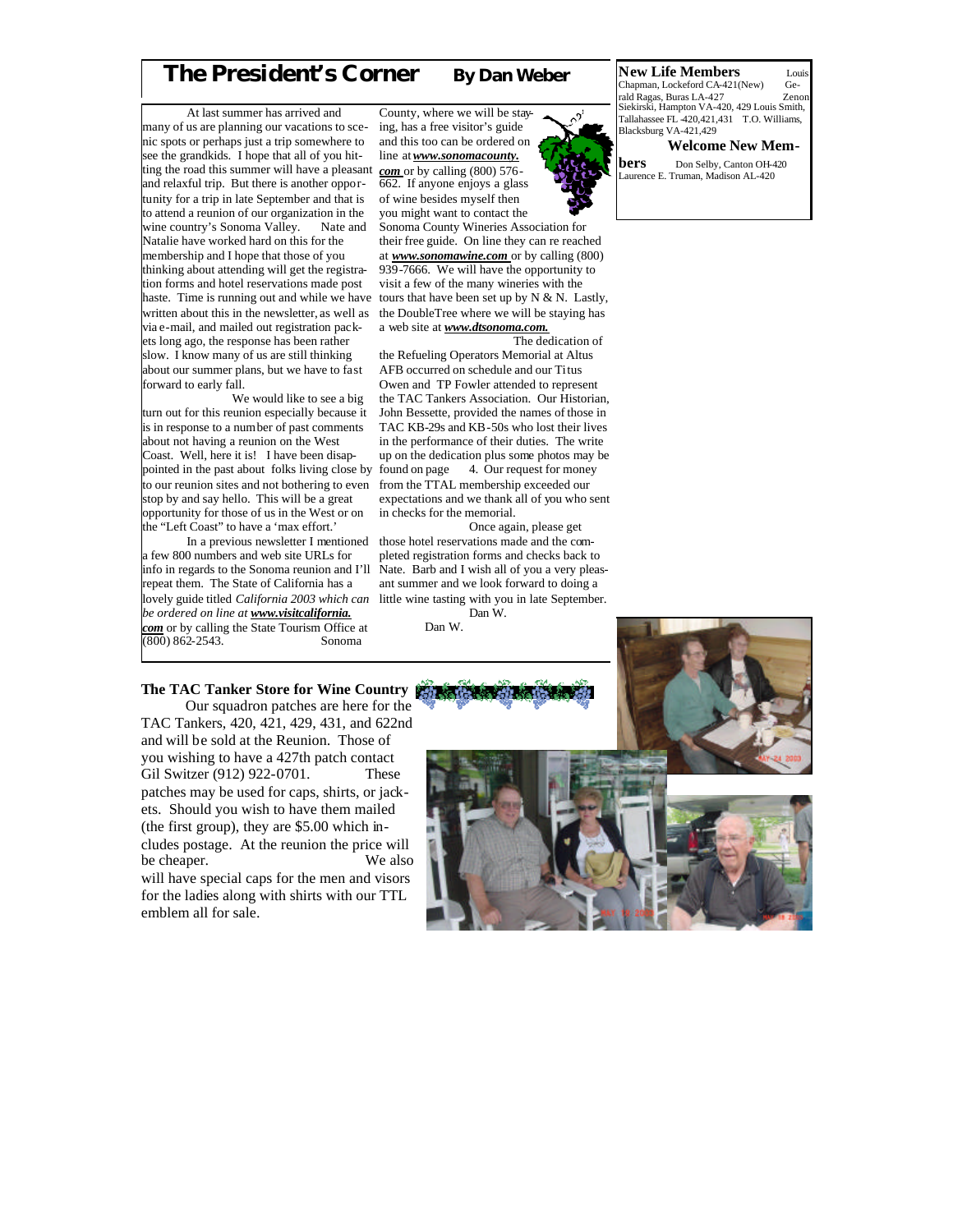## **The President's Corner By Dan Weber**

 At last summer has arrived and many of us are planning our vacations to scenic spots or perhaps just a trip somewhere to see the grandkids. I hope that all of you hitting the road this summer will have a pleasant *com* or by calling (800) 576 and relaxful trip. But there is another opportunity for a trip in late September and that is to attend a reunion of our organization in the wine country's Sonoma Valley. Nate and Natalie have worked hard on this for the membership and I hope that those of you thinking about attending will get the registration forms and hotel reservations made post haste. Time is running out and while we have written about this in the newsletter, as well as via e-mail, and mailed out registration packets long ago, the response has been rather slow. I know many of us are still thinking about our summer plans, but we have to fast forward to early fall.

 We would like to see a big turn out for this reunion especially because it is in response to a number of past comments about not having a reunion on the West Coast. Well, here it is! I have been disappointed in the past about folks living close by to our reunion sites and not bothering to even stop by and say hello. This will be a great opportunity for those of us in the West or on the "Left Coast" to have a 'max effort.'

 In a previous newsletter I mentioned a few 800 numbers and web site URLs for info in regards to the Sonoma reunion and I'll repeat them. The State of California has a lovely guide titled *California 2003 which can be ordered on line at www.visitcalifornia.* **com** or by calling the State Tourism Office at (800) 862-2543. Sonoma  $(800) 862 - 2543.$ 

County, where we will be staying, has a free visitor's guide and this too can be ordered on line at *www.sonomacounty.* 662. If anyone enjoys a glass of wine besides myself then you might want to contact the Sonoma County Wineries Association for their free guide. On line they can re reached at *www.sonomawine.com* or by calling (800) 939-7666. We will have the opportunity to visit a few of the many wineries with the tours that have been set up by  $N & N$ . Lastly, the DoubleTree where we will be staying has

a web site at *www.dtsonoma.com.* The dedication of

the Refueling Operators Memorial at Altus AFB occurred on schedule and our Titus Owen and TP Fowler attended to represent the TAC Tankers Association. Our Historian, John Bessette, provided the names of those in TAC KB-29s and KB-50s who lost their lives in the performance of their duties. The write up on the dedication plus some photos may be<br>found on page 4. Our request for money 4. Our request for money from the TTAL membership exceeded our expectations and we thank all of you who sent in checks for the memorial.

 Once again, please get those hotel reservations made and the completed registration forms and checks back to Nate. Barb and I wish all of you a very pleasant summer and we look forward to doing a little wine tasting with you in late September. Dan W.

Dan W.

#### **New Life Members** Louin Louis<br>
Chapman, Lockeford CA-421(New) Ge-Chapman, Lockeford CA-421(New) rald Ragas, Buras LA-427 Zenon Siekirski, Hampton VA-420, 429 Louis Smith,  $Tallahassee FL 420,421,431 T.O. Williams,$ Blacksburg VA-421,429

 **Welcome New Members** Don Selby, Canton OH-420 Laurence E. Truman, Madison AL-420

### **The TAC Tanker Store for Wine Country** Our squadron patches are here for the

TAC Tankers, 420, 421, 429, 431, and 622nd and will be sold at the Reunion. Those of you wishing to have a 427th patch contact Gil Switzer (912) 922-0701. These patches may be used for caps, shirts, or jackets. Should you wish to have them mailed (the first group), they are \$5.00 which includes postage. At the reunion the price will be cheaper. We also will have special caps for the men and visors for the ladies along with shirts with our TTL emblem all for sale.

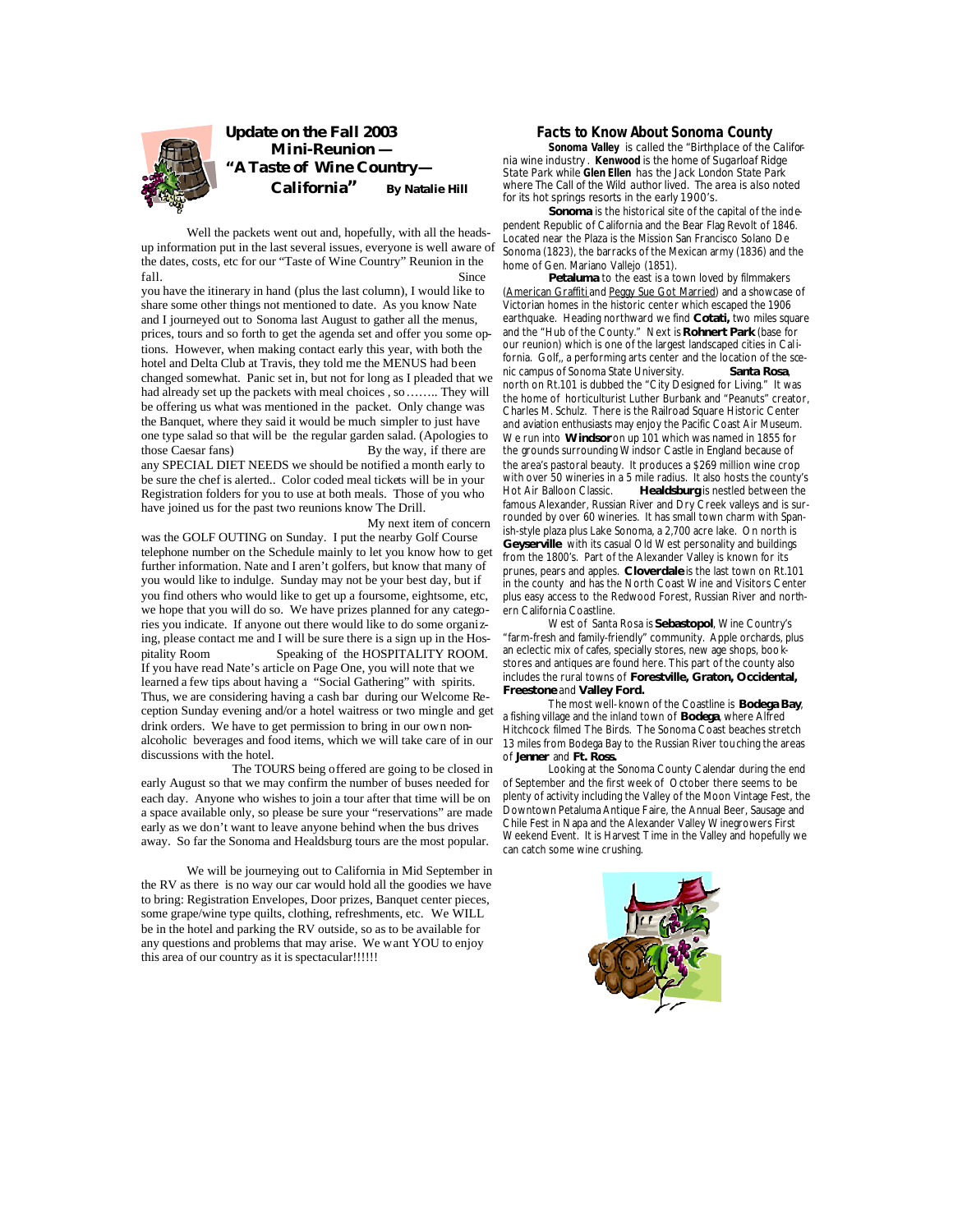

 Well the packets went out and, hopefully, with all the headsup information put in the last several issues, everyone is well aware of the dates, costs, etc for our "Taste of Wine Country" Reunion in the fall. Since

you have the itinerary in hand (plus the last column), I would like to share some other things not mentioned to date. As you know Nate and I journeyed out to Sonoma last August to gather all the menus, prices, tours and so forth to get the agenda set and offer you some options. However, when making contact early this year, with both the hotel and Delta Club at Travis, they told me the MENUS had been changed somewhat. Panic set in, but not for long as I pleaded that we had already set up the packets with meal choices , so…….. They will be offering us what was mentioned in the packet. Only change was the Banquet, where they said it would be much simpler to just have one type salad so that will be the regular garden salad. (Apologies to those Caesar fans) By the way, if there are any SPECIAL DIET NEEDS we should be notified a month early to be sure the chef is alerted.. Color coded meal tickets will be in your Registration folders for you to use at both meals. Those of you who have joined us for the past two reunions know The Drill.

 My next item of concern was the GOLF OUTING on Sunday. I put the nearby Golf Course telephone number on the Schedule mainly to let you know how to get further information. Nate and I aren't golfers, but know that many of you would like to indulge. Sunday may not be your best day, but if you find others who would like to get up a foursome, eightsome, etc, we hope that you will do so. We have prizes planned for any categories you indicate. If anyone out there would like to do some organizing, please contact me and I will be sure there is a sign up in the Hospitality Room Speaking of the HOSPITALITY ROOM. If you have read Nate's article on Page One, you will note that we learned a few tips about having a "Social Gathering" with spirits. Thus, we are considering having a cash bar during our Welcome Reception Sunday evening and/or a hotel waitress or two mingle and get drink orders. We have to get permission to bring in our own nonalcoholic beverages and food items, which we will take care of in our discussions with the hotel.

 The TOURS being offered are going to be closed in early August so that we may confirm the number of buses needed for each day. Anyone who wishes to join a tour after that time will be on a space available only, so please be sure your "reservations" are made early as we don't want to leave anyone behind when the bus drives away. So far the Sonoma and Healdsburg tours are the most popular.

 We will be journeying out to California in Mid September in the RV as there is no way our car would hold all the goodies we have to bring: Registration Envelopes, Door prizes, Banquet center pieces, some grape/wine type quilts, clothing, refreshments, etc. We WILL be in the hotel and parking the RV outside, so as to be available for any questions and problems that may arise. We want YOU to enjoy this area of our country as it is spectacular!!!!!!

### **Facts to Know About Sonoma County**

 **Sonoma Valley** is called the "Birthplace of the California wine industry . **Kenwood** is the home of Sugarloaf Ridge State Park while **Glen Ellen** has the Jack London State Park where The Call of the Wild author lived. The area is also noted for its hot springs resorts in the early 1900's.

**Sonoma** is the historical site of the capital of the independent Republic of California and the Bear Flag Revolt of 1846. Located near the Plaza is the Mission San Francisco Solano De Sonoma (1823), the barracks of the Mexican army (1836) and the home of Gen. Mariano Vallejo (1851).

 **Petaluma** to the east is a town loved by filmmakers (American Graffiti and Peggy Sue Got Married) and a showcase of Victorian homes in the historic center which escaped the 1906 earthquake. Heading northward we find **Cotati,** two miles square and the "Hub of the County." Next is **Rohnert Park** (base for our reunion) which is one of the largest landscaped cities in California. Golf, a performing arts center and the location of the scenic campus of Sonoma State University. **Santa Rosa**, north on Rt.101 is dubbed the "City Designed for Living." It was the home of horticulturist Luther Burbank and "Peanuts" creator, Charles M. Schulz. There is the Railroad Square Historic Center and aviation enthusiasts may enjoy the Pacific Coast Air Museum. We run into **Windsor** on up 101 which was named in 1855 for the grounds surrounding Windsor Castle in England because of the area's pastoral beauty. It produces a \$269 million wine crop with over 50 wineries in a 5 mile radius. It also hosts the county's Hot Air Balloon Classic. **Healdsburg** is nestled between the famous Alexander, Russian River and Dry Creek valleys and is surrounded by over 60 wineries. It has small town charm with Spanish-style plaza plus Lake Sonoma, a 2,700 acre lake. On north is **Geyserville** with its casual Old West personality and buildings from the 1800's. Part of the Alexander Valley is known for its prunes, pears and apples. **Cloverdale** is the last town on Rt.101 in the county and has the North Coast Wine and Visitors Center plus easy access to the Redwood Forest, Russian River and northern California Coastline.

 West of Santa Rosa is **Sebastopol**, Wine Country's "farm-fresh and family-friendly" community. Apple orchards, plus an eclectic mix of cafes, specially stores, new age shops, bookstores and antiques are found here. This part of the county also includes the rural towns of **Forestville, Graton, Occidental, Freestone** and **Valley Ford.** 

The most well-known of the Coastline is **Bodega Bay**, a fishing village and the inland town of **Bodega**, where Alfred Hitchcock filmed The Birds. The Sonoma Coast beaches stretch 13 miles from Bodega Bay to the Russian River touching the areas of **Jenner** and **Ft. Ross.**

 Looking at the Sonoma County Calendar during the end of September and the first week of October there seems to be plenty of activity including the Valley of the Moon Vintage Fest, the Downtown Petaluma Antique Faire, the Annual Beer, Sausage and Chile Fest in Napa and the Alexander Valley Winegrowers First Weekend Event. It is Harvest Time in the Valley and hopefully we can catch some wine crushing.

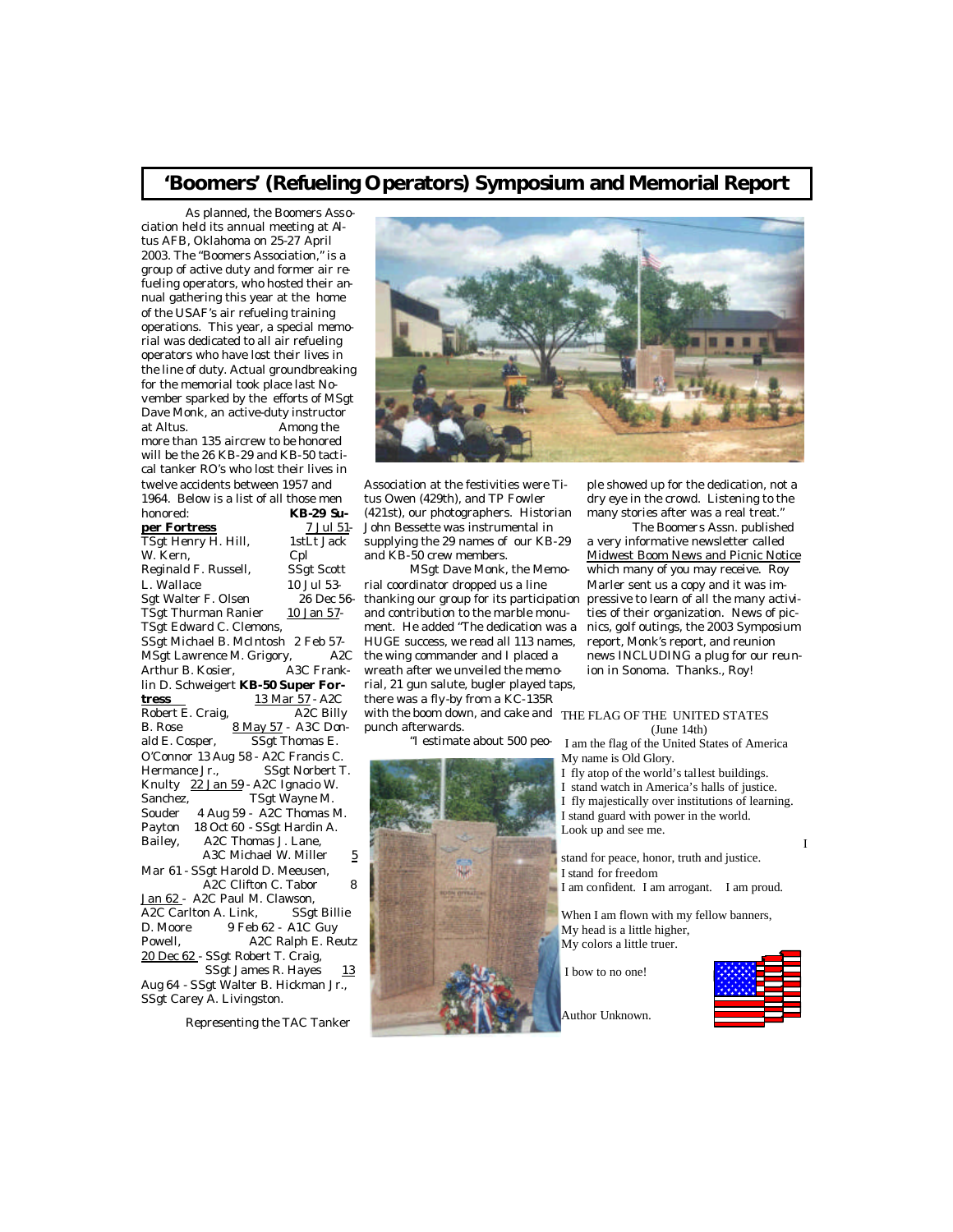### **'Boomers' (Refueling Operators) Symposium and Memorial Report**

 As planned, the Boomers Association held its annual meeting at Altus AFB, Oklahoma on 25-27 April 2003. The "Boomers Association," is a group of active duty and former air refueling operators, who hosted their annual gathering this year at the home of the USAF's air refueling training operations. This year, a special memorial was dedicated to all air refueling operators who have lost their lives in the line of duty. Actual groundbreaking for the memorial took place last November sparked by the efforts of MSgt Dave Monk, an active-duty instructor at Altus. Among the more than 135 aircrew to be honored will be the 26 KB-29 and KB-50 tactical tanker RO's who lost their lives in twelve accidents between 1957 and 1964. Below is a list of all those men honored: **KB-29 Super Fortress** 7 Jul 51-TSgt Henry H. Hill, 1stLt Jack W. Kern, Cpl Reginald F. Russell, SSgt Scott L. Wallace 10 Jul 53- Sgt Walter F. Olsen 26 Dec 56- TSgt Thurman Ranier 10 Jan 57-TSgt Edward C. Clemons, SSgt Michael B. McIntosh 2 Feb 57- MSgt Lawrence M. Grigory, A2C<br>Arthur B. Kosier, A3C Frank-Arthur B. Kosier. lin D. Schweigert **KB-50 Super Fortress** 13 Mar 57 - A2C Robert E. Craig,  $\overline{A2C}$  Billy B. Rose 8 May 57 - A3C Donald E. Cosper, SSgt Thomas E. O'Connor 13 Aug 58 - A2C Francis C. Hermance Jr., SSgt Norbert T. Knulty 22 Jan 59 - A2C Ignacio W. Sanchez, TSgt Wayne M. Souder 4 Aug 59 - A2C Thomas M. Payton 18 Oct 60 - SSgt Hardin A. Bailey, A2C Thomas J. Lane, A3C Michael W. Miller  $5$ Mar 61 - SSgt Harold D. Meeusen, A<sub>2</sub>C Clifton C. Tabor 8 Jan 62 - A2C Paul M. Clawson,<br>A2C Carlton A. Link, SSgt Billie A2C Carlton A. Link. D. Moore 9 Feb 62 - A1C Guy Powell, A2C Ralph E. Reutz 20 Dec 62 - SSgt Robert T. Craig, SSgt James R. Hayes  $13$ Aug 64 - SSgt Walter B. Hickman Jr., SSgt Carey A. Livingston.

Representing the TAC Tanker



Association at the festivities were Titus Owen (429th), and TP Fowler (421st), our photographers. Historian John Bessette was instrumental in supplying the 29 names of our KB-29 and KB-50 crew members.

 MSgt Dave Monk, the Memorial coordinator dropped us a line thanking our group for its participation and contribution to the marble monument. He added "The dedication was a HUGE success, we read all 113 names, the wing commander and I placed a wreath after we unveiled the memorial, 21 gun salute, bugler played taps, there was a fly-by from a KC-135R with the boom down, and cake and THE FLAG OF THE UNITED STATES punch afterwards.

"I estimate about 500 peo-

ple showed up for the dedication, not a dry eye in the crowd. Listening to the many stories after was a real treat."

 The Boomers Assn. published a very informative newsletter called Midwest Boom News and Picnic Notice which many of you may receive. Roy Marler sent us a copy and it was impressive to learn of all the many activities of their organization. News of picnics, golf outings, the 2003 Symposium report, Monk's report, and reunion news INCLUDING a plug for our reunion in Sonoma. Thanks., Roy!

### (June 14th)

I am the flag of the United States of America My name is Old Glory.

I fly atop of the world's tallest buildings. I stand watch in America's halls of justice. I fly majestically over institutions of learning. I stand guard with power in the world. Look up and see me.

**I** I and the second state  $\mathbf{I}$ stand for peace, honor, truth and justice. I stand for freedom I am confident. I am arrogant. I am proud.

When I am flown with my fellow banners, My head is a little higher, My colors a little truer.

I bow to no one!



Author Unknown.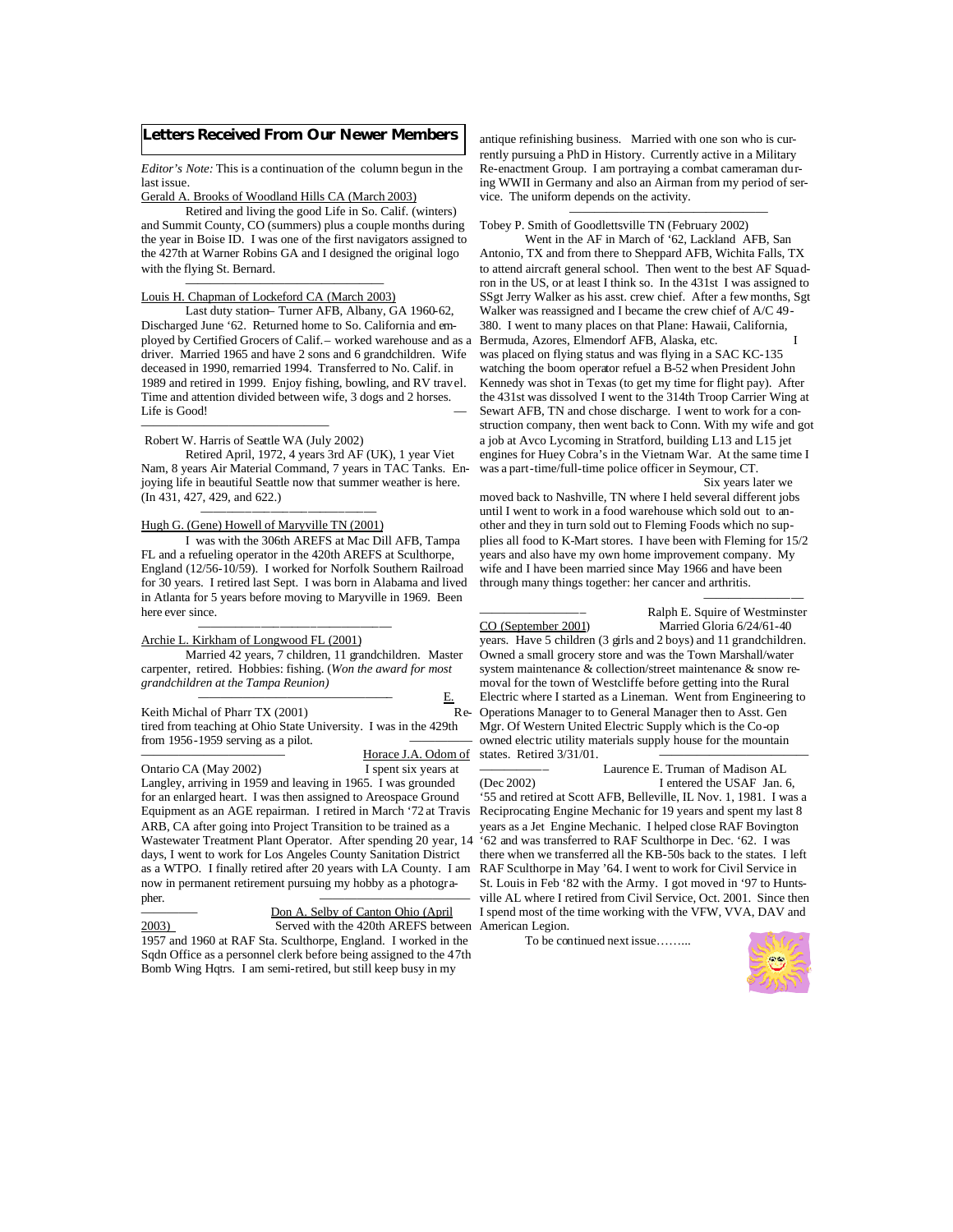### **Letters Received From Our Newer Members**

*Editor's Note:* This is a continuation of the column begun in the last issue.

Gerald A. Brooks of Woodland Hills CA (March 2003)

 Retired and living the good Life in So. Calif. (winters) and Summit County, CO (summers) plus a couple months during the year in Boise ID. I was one of the first navigators assigned to the 427th at Warner Robins GA and I designed the original logo with the flying St. Bernard.

#### $\overline{\phantom{a}}$  , and the contract of the contract of the contract of the contract of the contract of the contract of the contract of the contract of the contract of the contract of the contract of the contract of the contrac Louis H. Chapman of Lockeford CA (March 2003)

 Last duty station– Turner AFB, Albany, GA 1960-62, Discharged June '62. Returned home to So. California and employed by Certified Grocers of Calif.– worked warehouse and as a driver. Married 1965 and have 2 sons and 6 grandchildren. Wife deceased in 1990, remarried 1994. Transferred to No. Calif. in 1989 and retired in 1999. Enjoy fishing, bowling, and RV travel. Time and attention divided between wife, 3 dogs and 2 horses. Life is Good! ———————————————

### Robert W. Harris of Seattle WA (July 2002)

 Retired April, 1972, 4 years 3rd AF (UK), 1 year Viet Nam, 8 years Air Material Command, 7 years in TAC Tanks. Enjoying life in beautiful Seattle now that summer weather is here. (In 431, 427, 429, and 622.)

#### ——–—–—–—–—–—–—–—–— Hugh G. (Gene) Howell of Maryville TN (2001)

 I was with the 306th AREFS at Mac Dill AFB, Tampa FL and a refueling operator in the 420th AREFS at Sculthorpe, England (12/56-10/59). I worked for Norfolk Southern Railroad for 30 years. I retired last Sept. I was born in Alabama and lived in Atlanta for 5 years before moving to Maryville in 1969. Been here ever since.

### Archie L. Kirkham of Longwood FL (2001)

———–—–—–—–—–——–——–—

 Married 42 years, 7 children, 11 grandchildren. Master carpenter, retired. Hobbies: fishing. (*Won the award for most grandchildren at the Tampa Reunion)* 

 *—————————————————–* E. Keith Michal of Pharr TX (2001) tired from teaching at Ohio State University. I was in the 429th from 1956-1959 serving as a pilot.

### Horace J.A. Odom of

Ontario CA (May 2002) I spent six years at Langley, arriving in 1959 and leaving in 1965. I was grounded for an enlarged heart. I was then assigned to Areospace Ground Equipment as an AGE repairman. I retired in March '72 at Travis Reciprocating Engine Mechanic for 19 years and spent my last 8 ARB, CA after going into Project Transition to be trained as a Wastewater Treatment Plant Operator. After spending 20 year, 14 days, I went to work for Los Angeles County Sanitation District as a WTPO. I finally retired after 20 years with LA County. I am now in permanent retirement pursuing my hobby as a photographer. ————————————

Don A. Selby of Canton Ohio (April 2003) Served with the 420th AREFS between American Legion. 1957 and 1960 at RAF Sta. Sculthorpe, England. I worked in the Sqdn Office as a personnel clerk before being assigned to the 47th Bomb Wing Hqtrs. I am semi-retired, but still keep busy in my

antique refinishing business. Married with one son who is currently pursuing a PhD in History. Currently active in a Military Re-enactment Group. I am portraying a combat cameraman during WWII in Germany and also an Airman from my period of service. The uniform depends on the activity.

 $\overline{\phantom{a}}$  , and the contract of the contract of the contract of the contract of the contract of the contract of the contract of the contract of the contract of the contract of the contract of the contract of the contrac Tobey P. Smith of Goodlettsville TN (February 2002)

 Went in the AF in March of '62, Lackland AFB, San Antonio, TX and from there to Sheppard AFB, Wichita Falls, TX to attend aircraft general school. Then went to the best AF Squadron in the US, or at least I think so. In the 431st I was assigned to SSgt Jerry Walker as his asst. crew chief. After a few months, Sgt Walker was reassigned and I became the crew chief of A/C 49- 380. I went to many places on that Plane: Hawaii, California, Bermuda, Azores, Elmendorf AFB, Alaska, etc. was placed on flying status and was flying in a SAC KC-135 watching the boom operator refuel a B-52 when President John Kennedy was shot in Texas (to get my time for flight pay). After the 431st was dissolved I went to the 314th Troop Carrier Wing at Sewart AFB, TN and chose discharge. I went to work for a construction company, then went back to Conn. With my wife and got a job at Avco Lycoming in Stratford, building L13 and L15 jet engines for Huey Cobra's in the Vietnam War. At the same time I was a part-time/full-time police officer in Seymour, CT. Six years later we

moved back to Nashville, TN where I held several different jobs until I went to work in a food warehouse which sold out to another and they in turn sold out to Fleming Foods which no supplies all food to K-Mart stores. I have been with Fleming for 15/2 years and also have my own home improvement company. My wife and I have been married since May 1966 and have been through many things together: her cancer and arthritis. ————————

————————– Ralph E. Squire of Westminster Married Gloria 6/24/61-40

years. Have 5 children (3 girls and 2 boys) and 11 grandchildren. Owned a small grocery store and was the Town Marshall/water system maintenance & collection/street maintenance & snow removal for the town of Westcliffe before getting into the Rural Electric where I started as a Lineman. Went from Engineering to Re- Operations Manager to to General Manager then to Asst. Gen Mgr. Of Western United Electric Supply which is the Co-op owned electric utility materials supply house for the mountain states. Retired 3/31/01.

Laurence E. Truman of Madison AL

(Dec 2002) I entered the USAF Jan. 6, '55 and retired at Scott AFB, Belleville, IL Nov. 1, 1981. I was a years as a Jet Engine Mechanic. I helped close RAF Bovington '62 and was transferred to RAF Sculthorpe in Dec. '62. I was there when we transferred all the KB-50s back to the states. I left RAF Sculthorpe in May '64. I went to work for Civil Service in St. Louis in Feb '82 with the Army. I got moved in '97 to Huntsville AL where I retired from Civil Service, Oct. 2001. Since then I spend most of the time working with the VFW, VVA, DAV and

To be continued next issue……...

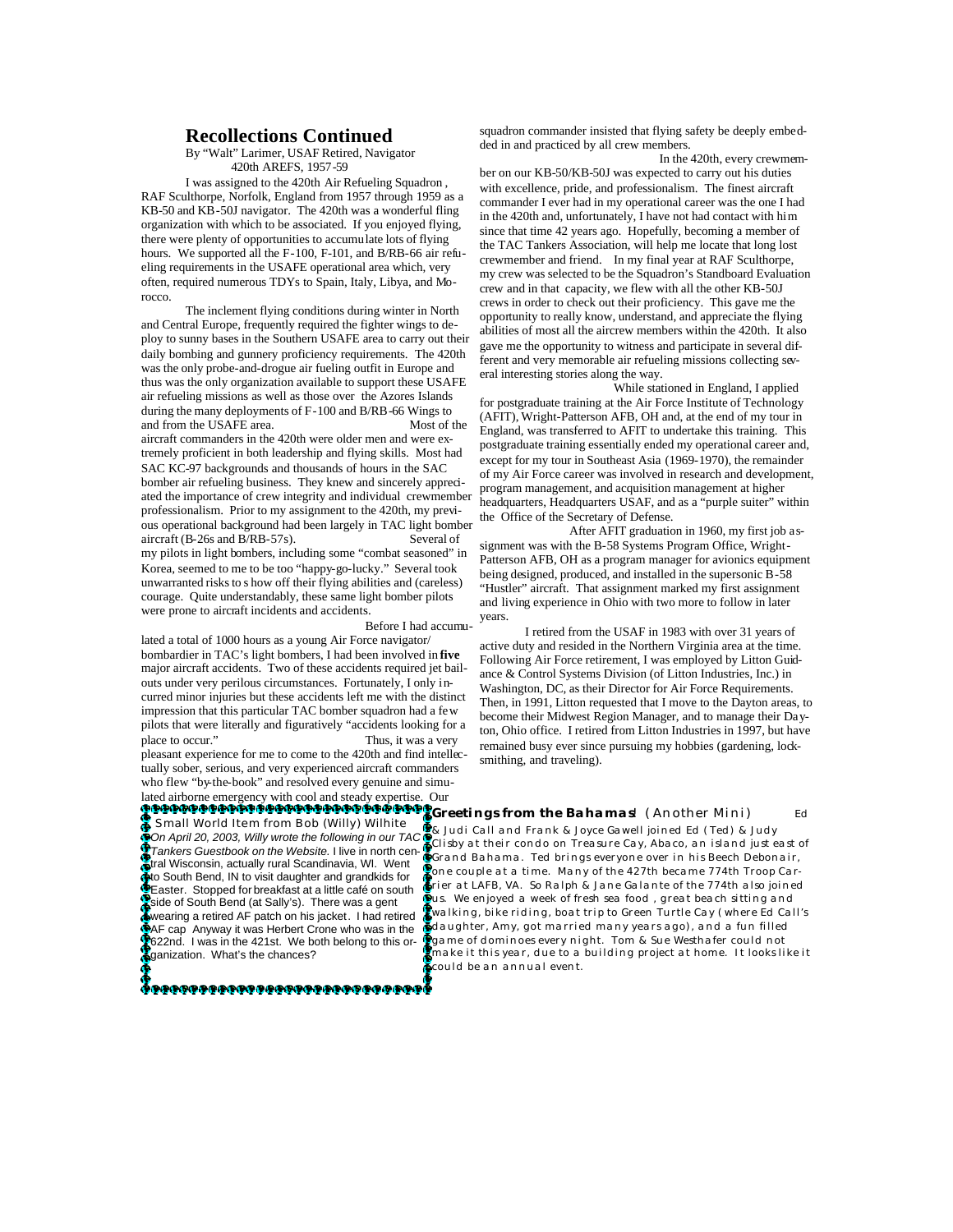### **Recollections Continued**

 By "Walt" Larimer, USAF Retired, Navigator 420th AREFS, 1957-59

 I was assigned to the 420th Air Refueling Squadron , RAF Sculthorpe, Norfolk, England from 1957 through 1959 as a KB-50 and KB-50J navigator. The 420th was a wonderful fling organization with which to be associated. If you enjoyed flying, there were plenty of opportunities to accumulate lots of flying hours. We supported all the F-100, F-101, and B/RB-66 air refueling requirements in the USAFE operational area which, very often, required numerous TDYs to Spain, Italy, Libya, and Morocco.

 The inclement flying conditions during winter in North and Central Europe, frequently required the fighter wings to deploy to sunny bases in the Southern USAFE area to carry out their daily bombing and gunnery proficiency requirements. The 420th was the only probe-and-drogue air fueling outfit in Europe and thus was the only organization available to support these USAFE air refueling missions as well as those over the Azores Islands during the many deployments of F-100 and B/RB-66 Wings to and from the USAFE area. Most of the aircraft commanders in the 420th were older men and were extremely proficient in both leadership and flying skills. Most had SAC KC-97 backgrounds and thousands of hours in the SAC bomber air refueling business. They knew and sincerely appreciated the importance of crew integrity and individual crewmember professionalism. Prior to my assignment to the 420th, my previous operational background had been largely in TAC light bomber aircraft (B-26s and B/RB-57s). Several of my pilots in light bombers, including some "combat seasoned" in Korea, seemed to me to be too "happy-go-lucky." Several took unwarranted risks to s how off their flying abilities and (careless) courage. Quite understandably, these same light bomber pilots were prone to aircraft incidents and accidents.

Before I had accumu-

lated a total of 1000 hours as a young Air Force navigator/ bombardier in TAC's light bombers, I had been involved in **five**  major aircraft accidents. Two of these accidents required jet bailouts under very perilous circumstances. Fortunately, I only incurred minor injuries but these accidents left me with the distinct impression that this particular TAC bomber squadron had a few pilots that were literally and figuratively "accidents looking for a place to occur." Thus, it was a very pleasant experience for me to come to the 420th and find intellectually sober, serious, and very experienced aircraft commanders who flew "by-the-book" and resolved every genuine and simu-

lated airborne emergency with cool and steady expertise. Our steady experience of the steady experience.

*Small World Item from Bob (Willy) Wilhite On April 20, 2003, Willy wrote the following in our TAC Tankers Guestbook on the Website.* I live in north central Wisconsin, actually rural Scandinavia, WI. Went to South Bend, IN to visit daughter and grandkids for **G**io South Bend, IN to visit daughter and grandkids for<br>Geaster. Stopped for breakfast at a little café on south side of South Bend (at Sally's). There was a gent wearing a retired AF patch on his jacket. I had retired AF cap Anyway it was Herbert Crone who was in the 622nd. I was in the 421st. We both belong to this organization. What's the chances?

₽₽₽₽₽₽₽₽₽₽₽₽₽₽₽₽₽₽₽₽₽₽₽₽₽₽₽₽₽

squadron commander insisted that flying safety be deeply embedded in and practiced by all crew members.

 In the 420th, every crewmember on our KB-50/KB-50J was expected to carry out his duties with excellence, pride, and professionalism. The finest aircraft commander I ever had in my operational career was the one I had in the 420th and, unfortunately, I have not had contact with him since that time 42 years ago. Hopefully, becoming a member of the TAC Tankers Association, will help me locate that long lost crewmember and friend. In my final year at RAF Sculthorpe, my crew was selected to be the Squadron's Standboard Evaluation crew and in that capacity, we flew with all the other KB-50J crews in order to check out their proficiency. This gave me the opportunity to really know, understand, and appreciate the flying abilities of most all the aircrew members within the 420th. It also gave me the opportunity to witness and participate in several different and very memorable air refueling missions collecting several interesting stories along the way.

 While stationed in England, I applied for postgraduate training at the Air Force Institute of Technology (AFIT), Wright-Patterson AFB, OH and, at the end of my tour in England, was transferred to AFIT to undertake this training. This postgraduate training essentially ended my operational career and, except for my tour in Southeast Asia (1969-1970), the remainder of my Air Force career was involved in research and development, program management, and acquisition management at higher headquarters, Headquarters USAF, and as a "purple suiter" within the Office of the Secretary of Defense.

 After AFIT graduation in 1960, my first job assignment was with the B-58 Systems Program Office, Wright-Patterson AFB, OH as a program manager for avionics equipment being designed, produced, and installed in the supersonic B-58 "Hustler" aircraft. That assignment marked my first assignment and living experience in Ohio with two more to follow in later years.

 I retired from the USAF in 1983 with over 31 years of active duty and resided in the Northern Virginia area at the time. Following Air Force retirement, I was employed by Litton Guidance & Control Systems Division (of Litton Industries, Inc.) in Washington, DC, as their Director for Air Force Requirements. Then, in 1991, Litton requested that I move to the Dayton areas, to become their Midwest Region Manager, and to manage their Dayton, Ohio office. I retired from Litton Industries in 1997, but have remained busy ever since pursuing my hobbies (gardening, locksmithing, and traveling).

**Greetings from the Bahamas**! (Another Mini) Ed & Judi Call and Frank & Joyce Gawell joined Ed (Ted) & Judy Clisby at their condo on Treasure Cay, Abaco, an island just east of Grand Bahama. Ted brings everyone over in his Beech Debonair, one couple at a time. Many of the 427th became 774th Troop Carrier at LAFB, VA. So Ralph & Jane Galante of the 774th also joined us. We enjoyed a week of fresh sea food , great beach sitting and walking, bike riding, boat trip to Green Turtle Cay (where Ed Call's daughter, Amy, got married many years ago), and a fun filled game of dominoes every night. Tom & Sue Westhafer could not make it this year, due to a building project at home. It looks like it could be an annual event.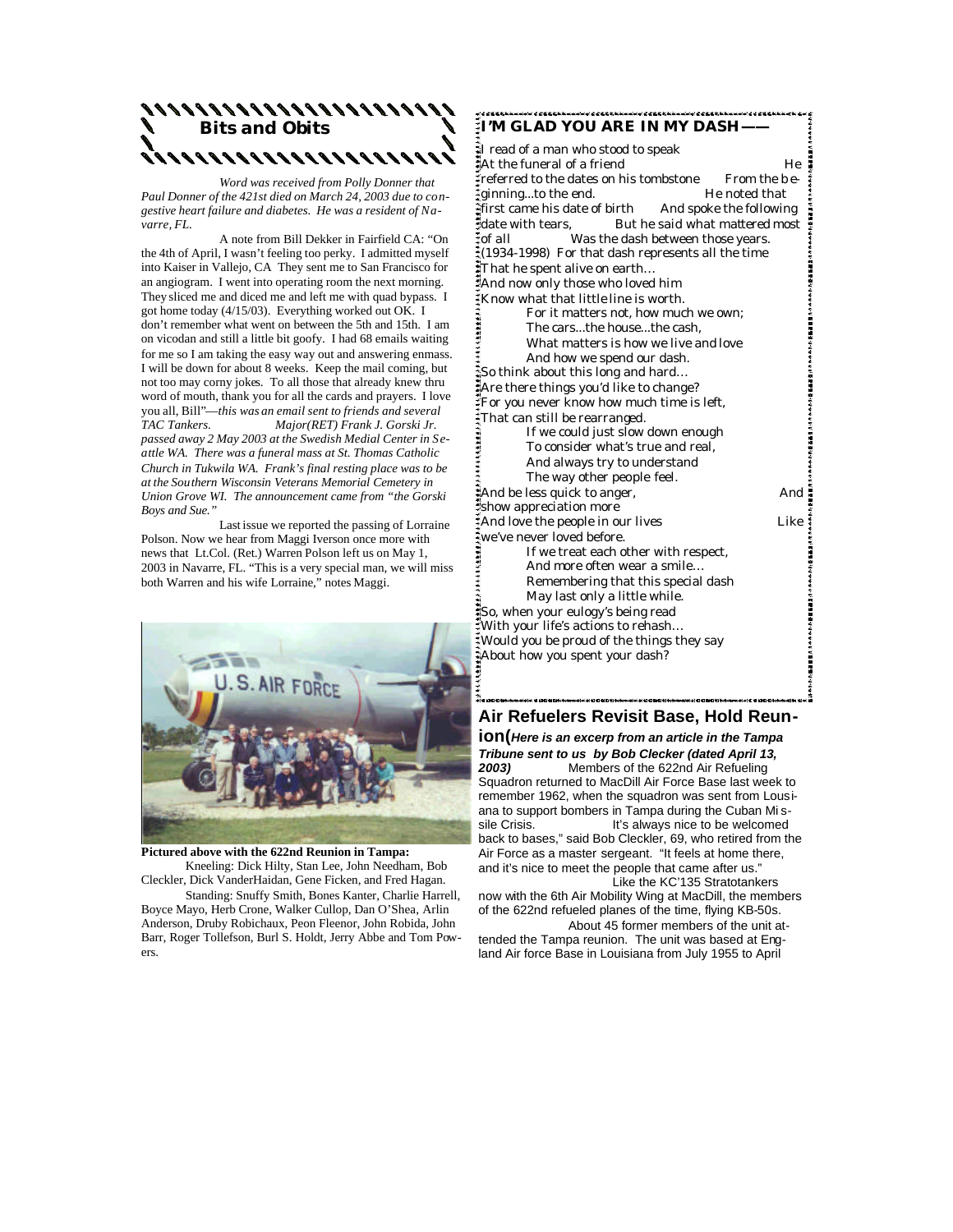

 *Word was received from Polly Donner that Paul Donner of the 421st died on March 24, 2003 due to congestive heart failure and diabetes. He was a resident of Navarre, FL.* 

 A note from Bill Dekker in Fairfield CA: "On the 4th of April, I wasn't feeling too perky. I admitted myself into Kaiser in Vallejo, CA They sent me to San Francisco for an angiogram. I went into operating room the next morning. They sliced me and diced me and left me with quad bypass. I got home today (4/15/03). Everything worked out OK. I don't remember what went on between the 5th and 15th. I am on vicodan and still a little bit goofy. I had 68 emails waiting for me so I am taking the easy way out and answering enmass. I will be down for about 8 weeks. Keep the mail coming, but not too may corny jokes. To all those that already knew thru word of mouth, thank you for all the cards and prayers. I love you all, Bill"—*this was an email sent to friends and several TAC Tankers. Major(RET) Frank J. Gorski Jr. passed away 2 May 2003 at the Swedish Medial Center in Seattle WA. There was a funeral mass at St. Thomas Catholic Church in Tukwila WA. Frank's final resting place was to be at the Southern Wisconsin Veterans Memorial Cemetery in Union Grove WI. The announcement came from "the Gorski Boys and Sue."*

 Last issue we reported the passing of Lorraine Polson. Now we hear from Maggi Iverson once more with news that Lt.Col. (Ret.) Warren Polson left us on May 1, 2003 in Navarre, FL. "This is a very special man, we will miss both Warren and his wife Lorraine," notes Maggi.



**Pictured above with the 622nd Reunion in Tampa:** Kneeling: Dick Hilty, Stan Lee, John Needham, Bob Cleckler, Dick VanderHaidan, Gene Ficken, and Fred Hagan.

 Standing: Snuffy Smith, Bones Kanter, Charlie Harrell, Boyce Mayo, Herb Crone, Walker Cullop, Dan O'Shea, Arlin Anderson, Druby Robichaux, Peon Fleenor, John Robida, John Barr, Roger Tollefson, Burl S. Holdt, Jerry Abbe and Tom Powers.

**I'M GLAD YOU ARE IN MY DASH——** I read of a man who stood to speak  $\ddot{a}$  a friend He He He He He He He He He He He  $\ddot{b}$ Freferred to the dates on his tombstone From the be-**Example 1** aginning...to the end. He noted that first came his date of birth And spoke the following date with tears, But he said what mattered most of all Was the dash between those years. **水水水流的烟烟烟出现在水水水水水流的烟烟烟烟出现在水水水水流的烟烟烟出现在水水水流流的烟烟出现3**  $\frac{1}{2}$ (1934-1998) For that dash represents all the time That he spent alive on earth… And now only those who loved him Know what that little line is worth. For it matters not, how much we own; The cars...the house...the cash, What matters is how we live and love And how we spend our dash. So think about this long and hard… Are there things you'd like to change? For you never know how much time is left, That can still be rearranged. If we could just slow down enough To consider what's true and real, And always try to understand The way other people feel. And be less quick to anger, https://www.and.com/ show appreciation more And love the people in our lives Like we've never loved before. If we treat each other with respect, 1.55834444444445584444444 And more often wear a smile... Remembering that this special dash May last only a little while. So, when your eulogy's being read With your life's actions to rehash… Would you be proud of the things they say About how you spent your dash?

### **Air Refuelers Revisit Base, Hold Reun-**

**ion(***Here is an excerp from an article in the Tampa Tribune sent to us by Bob Clecker (dated April 13, 2003)* Members of the 622nd Air Refueling Squadron returned to MacDill Air Force Base last week to remember 1962, when the squadron was sent from Lousiana to support bombers in Tampa during the Cuban Missie Crisis. It's always nice to be welcomed back to bases," said Bob Cleckler, 69, who retired from the Air Force as a master sergeant. "It feels at home there, and it's nice to meet the people that came after us." Like the KC'135 Stratotankers

now with the 6th Air Mobility Wing at MacDill, the members of the 622nd refueled planes of the time, flying KB-50s. About 45 former members of the unit at-

tended the Tampa reunion. The unit was based at England Air force Base in Louisiana from July 1955 to April